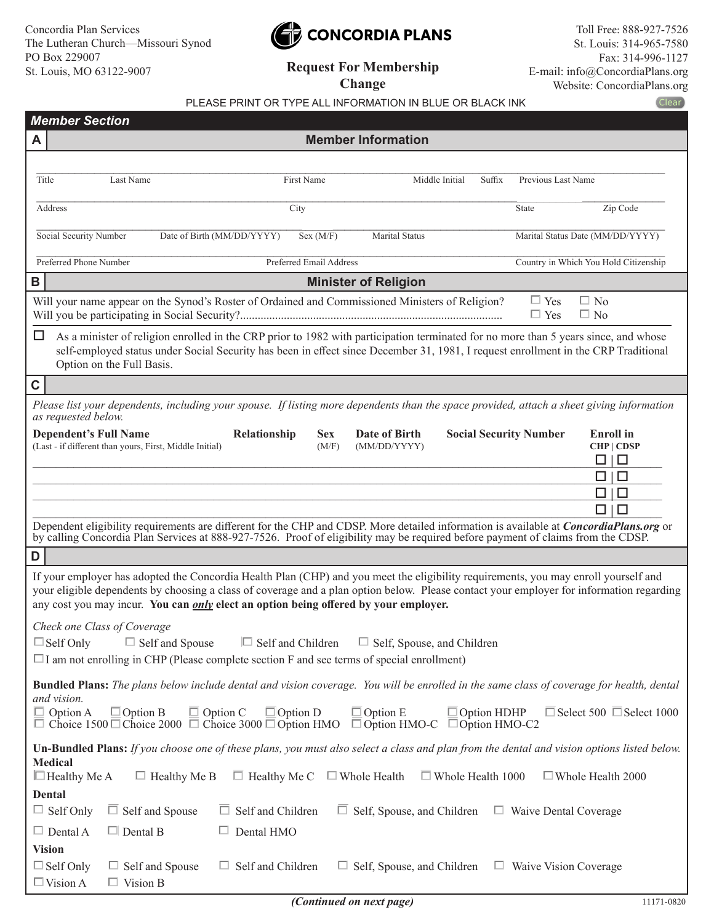# CONCORDIA PLANS

**Request For Membership Change**

|                                                                                                                                                                                                                                                                                                                                                                                                                                                       | Clear<br>PLEASE PRINT OR TYPE ALL INFORMATION IN BLUE OR BLACK INK                                                                                                                                                                                                                                                                                                                                                                                                                                                                                                                    |  |  |  |  |  |  |  |  |
|-------------------------------------------------------------------------------------------------------------------------------------------------------------------------------------------------------------------------------------------------------------------------------------------------------------------------------------------------------------------------------------------------------------------------------------------------------|---------------------------------------------------------------------------------------------------------------------------------------------------------------------------------------------------------------------------------------------------------------------------------------------------------------------------------------------------------------------------------------------------------------------------------------------------------------------------------------------------------------------------------------------------------------------------------------|--|--|--|--|--|--|--|--|
| <b>Member Section</b>                                                                                                                                                                                                                                                                                                                                                                                                                                 |                                                                                                                                                                                                                                                                                                                                                                                                                                                                                                                                                                                       |  |  |  |  |  |  |  |  |
| A                                                                                                                                                                                                                                                                                                                                                                                                                                                     | <b>Member Information</b>                                                                                                                                                                                                                                                                                                                                                                                                                                                                                                                                                             |  |  |  |  |  |  |  |  |
| Title                                                                                                                                                                                                                                                                                                                                                                                                                                                 | Last Name<br>First Name<br>Middle Initial<br>Previous Last Name<br>Suffix                                                                                                                                                                                                                                                                                                                                                                                                                                                                                                             |  |  |  |  |  |  |  |  |
|                                                                                                                                                                                                                                                                                                                                                                                                                                                       | Address<br>Zip Code<br>City<br>State                                                                                                                                                                                                                                                                                                                                                                                                                                                                                                                                                  |  |  |  |  |  |  |  |  |
|                                                                                                                                                                                                                                                                                                                                                                                                                                                       | Marital Status Date (MM/DD/YYYY)<br>Social Security Number<br>Date of Birth (MM/DD/YYYY)<br>Sex (M/F)<br>Marital Status                                                                                                                                                                                                                                                                                                                                                                                                                                                               |  |  |  |  |  |  |  |  |
|                                                                                                                                                                                                                                                                                                                                                                                                                                                       | Preferred Phone Number<br>Preferred Email Address<br>Country in Which You Hold Citizenship                                                                                                                                                                                                                                                                                                                                                                                                                                                                                            |  |  |  |  |  |  |  |  |
| B                                                                                                                                                                                                                                                                                                                                                                                                                                                     | <b>Minister of Religion</b>                                                                                                                                                                                                                                                                                                                                                                                                                                                                                                                                                           |  |  |  |  |  |  |  |  |
|                                                                                                                                                                                                                                                                                                                                                                                                                                                       | Will your name appear on the Synod's Roster of Ordained and Commissioned Ministers of Religion?<br>$\square$ No<br>$\Box$ Yes<br>$\Box$ Yes<br>$\square$ No                                                                                                                                                                                                                                                                                                                                                                                                                           |  |  |  |  |  |  |  |  |
| $\Box$                                                                                                                                                                                                                                                                                                                                                                                                                                                | As a minister of religion enrolled in the CRP prior to 1982 with participation terminated for no more than 5 years since, and whose<br>self-employed status under Social Security has been in effect since December 31, 1981, I request enrollment in the CRP Traditional<br>Option on the Full Basis.                                                                                                                                                                                                                                                                                |  |  |  |  |  |  |  |  |
| $\mathbf C$                                                                                                                                                                                                                                                                                                                                                                                                                                           |                                                                                                                                                                                                                                                                                                                                                                                                                                                                                                                                                                                       |  |  |  |  |  |  |  |  |
|                                                                                                                                                                                                                                                                                                                                                                                                                                                       | Please list your dependents, including your spouse. If listing more dependents than the space provided, attach a sheet giving information<br>as requested below.                                                                                                                                                                                                                                                                                                                                                                                                                      |  |  |  |  |  |  |  |  |
|                                                                                                                                                                                                                                                                                                                                                                                                                                                       | Relationship<br><b>Date of Birth</b><br><b>Social Security Number</b><br><b>Enroll</b> in<br><b>Dependent's Full Name</b><br><b>Sex</b><br>(Last - if different than yours, First, Middle Initial)<br>CHP   CDSP<br>(MM/DD/YYYY)<br>(M/F)<br>□<br>$\Box$<br>$\Box$<br>□<br>□<br>□<br>$\Box$<br>□<br>Dependent eligibility requirements are different for the CHP and CDSP. More detailed information is available at <i>ConcordiaPlans.org</i> or<br>by calling Concordia Plan Services at 888-927-7526. Proof of eligibility may be required before payment of claims from the CDSP. |  |  |  |  |  |  |  |  |
| D                                                                                                                                                                                                                                                                                                                                                                                                                                                     |                                                                                                                                                                                                                                                                                                                                                                                                                                                                                                                                                                                       |  |  |  |  |  |  |  |  |
| If your employer has adopted the Concordia Health Plan (CHP) and you meet the eligibility requirements, you may enroll yourself and<br>your eligible dependents by choosing a class of coverage and a plan option below. Please contact your employer for information regarding<br>any cost you may incur. You can <i>only</i> elect an option being offered by your employer.                                                                        |                                                                                                                                                                                                                                                                                                                                                                                                                                                                                                                                                                                       |  |  |  |  |  |  |  |  |
|                                                                                                                                                                                                                                                                                                                                                                                                                                                       | Check one Class of Coverage<br>$\Box$ Self Only<br>$\Box$ Self and Spouse<br>$\Box$ Self and Children<br>$\Box$ Self, Spouse, and Children<br>$\Box$ I am not enrolling in CHP (Please complete section F and see terms of special enrollment)                                                                                                                                                                                                                                                                                                                                        |  |  |  |  |  |  |  |  |
| <b>Bundled Plans:</b> The plans below include dental and vision coverage. You will be enrolled in the same class of coverage for health, dental<br>and vision.<br>$\Box$ Option B<br>$\Box$ Option C<br>$\Box$ Option E<br>$\Box$ Option D<br>$\Box$ Option HDHP<br>$\Box$ Select 500 $\Box$ Select 1000<br>$\Box$ Option A<br>$\Box$ Choice 1500 $\Box$ Choice 2000 $\Box$ Choice 3000 $\Box$ Option HMO<br>$\Box$ Option HMO-C $\Box$ Option HMO-C2 |                                                                                                                                                                                                                                                                                                                                                                                                                                                                                                                                                                                       |  |  |  |  |  |  |  |  |
| Un-Bundled Plans: If you choose one of these plans, you must also select a class and plan from the dental and vision options listed below.<br><b>Medical</b><br>$\Box$ Healthy Me A<br>$\Box$ Healthy Me B<br>$\Box$ Healthy Me C<br>$\Box$ Whole Health<br>$\Box$ Whole Health 1000<br>$\Box$ Whole Health 2000                                                                                                                                      |                                                                                                                                                                                                                                                                                                                                                                                                                                                                                                                                                                                       |  |  |  |  |  |  |  |  |
|                                                                                                                                                                                                                                                                                                                                                                                                                                                       | <b>Dental</b>                                                                                                                                                                                                                                                                                                                                                                                                                                                                                                                                                                         |  |  |  |  |  |  |  |  |
|                                                                                                                                                                                                                                                                                                                                                                                                                                                       | $\Box$ Self Only<br>$\Box$ Self and Spouse<br>$\Box$ Self and Children<br>$\Box$ Self, Spouse, and Children<br>$\Box$ Waive Dental Coverage                                                                                                                                                                                                                                                                                                                                                                                                                                           |  |  |  |  |  |  |  |  |
|                                                                                                                                                                                                                                                                                                                                                                                                                                                       | $\Box$ Dental A<br>$\Box$ Dental B<br>$\Box$ Dental HMO                                                                                                                                                                                                                                                                                                                                                                                                                                                                                                                               |  |  |  |  |  |  |  |  |
|                                                                                                                                                                                                                                                                                                                                                                                                                                                       | <b>Vision</b><br>$\Box$ Self Only<br>$\Box$ Self and Children<br>$\Box$ Self, Spouse, and Children<br>$\Box$ Self and Spouse<br>$\Box$ Waive Vision Coverage<br>$\Box$ Vision A<br>$\Box$ Vision B                                                                                                                                                                                                                                                                                                                                                                                    |  |  |  |  |  |  |  |  |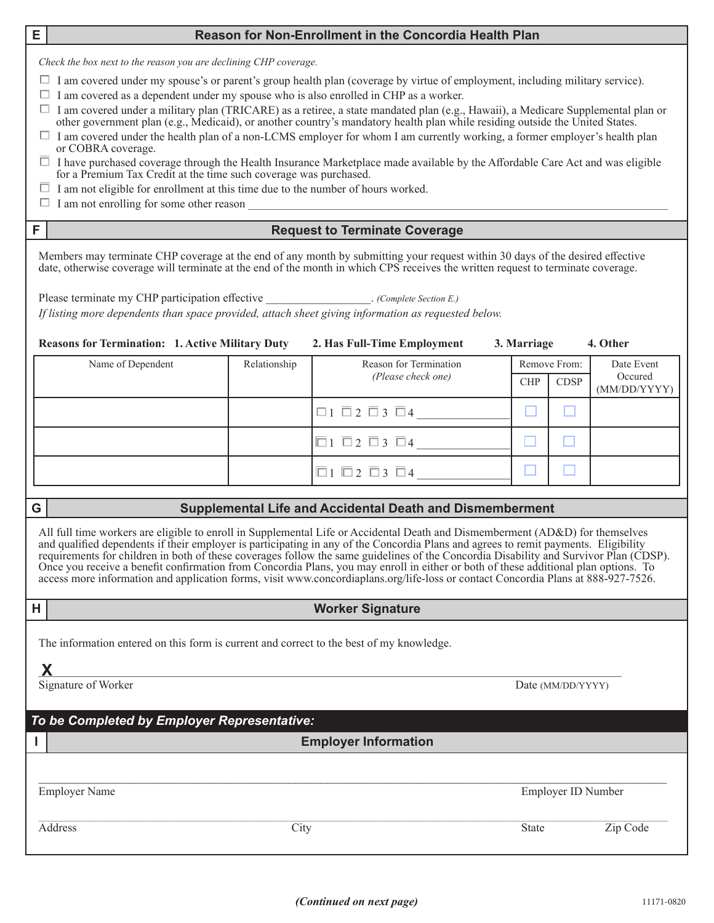#### **E Reason for Non-Enrollment in the Concordia Health Plan**

*Check the box next to the reason you are declining CHP coverage.*

- $\Box$  I am covered under my spouse's or parent's group health plan (coverage by virtue of employment, including military service).
- $\Box$  I am covered as a dependent under my spouse who is also enrolled in CHP as a worker.
- $\Box$  I am covered under a military plan (TRICARE) as a retiree, a state mandated plan (e.g., Hawaii), a Medicare Supplemental plan or other government plan (e.g., Medicaid), or another country's mandatory health plan while residing outside the United States.
- $\Box$  I am covered under the health plan of a non-LCMS employer for whom I am currently working, a former employer's health plan or COBRA coverage.
- $\Box$  I have purchased coverage through the Health Insurance Marketplace made available by the Affordable Care Act and was eligible for a Premium Tax Credit at the time such coverage was purchased.
- $\Box$  I am not eligible for enrollment at this time due to the number of hours worked.
- $\Box$  I am not enrolling for some other reason

#### **F Request to Terminate Coverage**

Members may terminate CHP coverage at the end of any month by submitting your request within 30 days of the desired effective date, otherwise coverage will terminate at the end of the month in which CPS receives the written request to terminate coverage.

Please terminate my CHP participation effective *(Complete Section E.)* 

*If listing more dependents than space provided, attach sheet giving information as requested below.*

#### **Reasons for Termination: 1. Active Military Duty 2. Has Full-Time Employment 3. Marriage 4. Other**

| Name of Dependent | Relationship | Reason for Termination            |            | Remove From: | Date Event              |
|-------------------|--------------|-----------------------------------|------------|--------------|-------------------------|
|                   |              | (Please check one)                | <b>CHP</b> | <b>CDSP</b>  | Occured<br>(MM/DD/YYYY) |
|                   |              | $\Box 1 \Box 2 \Box 3 \Box 4$     |            |              |                         |
|                   |              |                                   |            |              |                         |
|                   |              | $\Box$ $\Box$ 2 $\Box$ 3 $\Box$ 4 |            |              |                         |

#### **G Supplemental Life and Accidental Death and Dismemberment**

All full time workers are eligible to enroll in Supplemental Life or Accidental Death and Dismemberment (AD&D) for themselves and qualified dependents if their employer is participating in any of the Concordia Plans and agrees to remit payments. Eligibility requirements for children in both of these coverages follow the same guidelines of the Concordia Disability and Survivor Plan (CDSP). Once you receive a benefit confirmation from Concordia Plans, you may enroll in either or both of these additional plan options. To access more information and application forms, visit www.concordiaplans.org/life-loss or contact Concordia Plans at 888-927-7526.

**H Worker Signature**

The information entered on this form is current and correct to the best of my knowledge.

 $\bm{X}$  and the contract of the contract of the contract of the contract of the contract of the contract of the contract of the contract of the contract of the contract of the contract of the contract of the contract of t **X**

Signature of Worker Date (MM/DD/YYYY)

## *To be Completed by Employer Representative:*

### **I Employer Information**

 $\mathcal{L}_\mathcal{L} = \mathcal{L}_\mathcal{L} = \mathcal{L}_\mathcal{L} = \mathcal{L}_\mathcal{L} = \mathcal{L}_\mathcal{L} = \mathcal{L}_\mathcal{L} = \mathcal{L}_\mathcal{L} = \mathcal{L}_\mathcal{L} = \mathcal{L}_\mathcal{L} = \mathcal{L}_\mathcal{L} = \mathcal{L}_\mathcal{L} = \mathcal{L}_\mathcal{L} = \mathcal{L}_\mathcal{L} = \mathcal{L}_\mathcal{L} = \mathcal{L}_\mathcal{L} = \mathcal{L}_\mathcal{L} = \mathcal{L}_\mathcal{L}$ 

Employer Name **Employer ID** Number

Address City City State Zip Code

 $\mathcal{L}_\mathcal{L} = \mathcal{L}_\mathcal{L} = \mathcal{L}_\mathcal{L} = \mathcal{L}_\mathcal{L} = \mathcal{L}_\mathcal{L} = \mathcal{L}_\mathcal{L} = \mathcal{L}_\mathcal{L} = \mathcal{L}_\mathcal{L} = \mathcal{L}_\mathcal{L} = \mathcal{L}_\mathcal{L} = \mathcal{L}_\mathcal{L} = \mathcal{L}_\mathcal{L} = \mathcal{L}_\mathcal{L} = \mathcal{L}_\mathcal{L} = \mathcal{L}_\mathcal{L} = \mathcal{L}_\mathcal{L} = \mathcal{L}_\mathcal{L}$